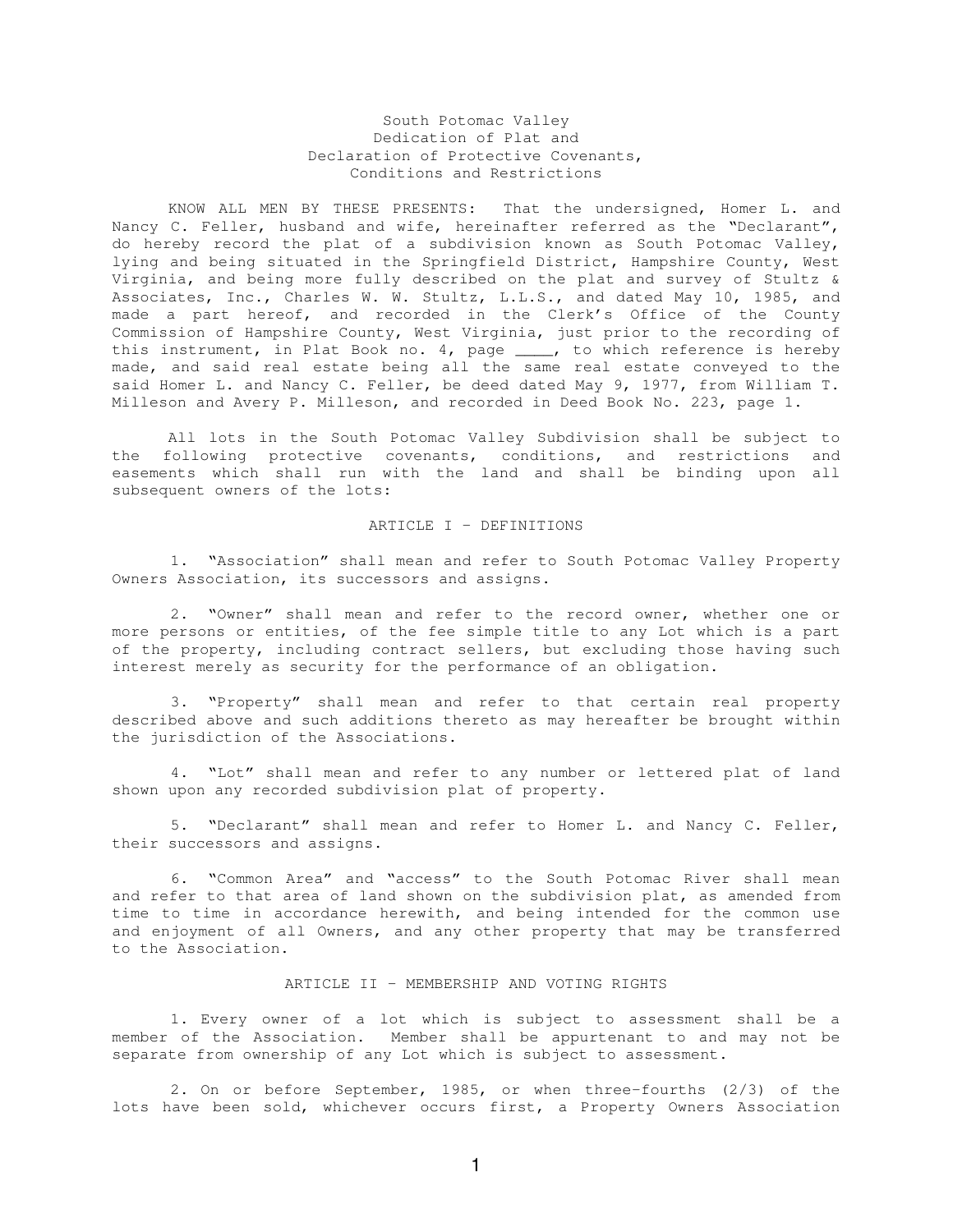## South Potomac Valley Dedication of Plat and Declaration of Protective Covenants, Conditions and Restrictions

KNOW ALL MEN BY THESE PRESENTS: That the undersigned, Homer L. and Nancy C. Feller, husband and wife, hereinafter referred as the "Declarant", do hereby record the plat of a subdivision known as South Potomac Valley, lying and being situated in the Springfield District, Hampshire County, West Virginia, and being more fully described on the plat and survey of Stultz & Associates, Inc., Charles W. W. Stultz, L.L.S., and dated May 10, 1985, and made a part hereof, and recorded in the Clerk's Office of the County Commission of Hampshire County, West Virginia, just prior to the recording of this instrument, in Plat Book no. 4, page \_\_\_\_, to which reference is hereby made, and said real estate being all the same real estate conveyed to the said Homer L. and Nancy C. Feller, be deed dated May 9, 1977, from William T. Milleson and Avery P. Milleson, and recorded in Deed Book No. 223, page 1.

All lots in the South Potomac Valley Subdivision shall be subject to the following protective covenants, conditions, and restrictions and easements which shall run with the land and shall be binding upon all subsequent owners of the lots:

#### ARTICLE I – DEFINITIONS

1. "Association" shall mean and refer to South Potomac Valley Property Owners Association, its successors and assigns.

2. "Owner" shall mean and refer to the record owner, whether one or more persons or entities, of the fee simple title to any Lot which is a part of the property, including contract sellers, but excluding those having such interest merely as security for the performance of an obligation.

3. "Property" shall mean and refer to that certain real property described above and such additions thereto as may hereafter be brought within the jurisdiction of the Associations.

4. "Lot" shall mean and refer to any number or lettered plat of land shown upon any recorded subdivision plat of property.

5. "Declarant" shall mean and refer to Homer L. and Nancy C. Feller, their successors and assigns.

6. "Common Area" and "access" to the South Potomac River shall mean and refer to that area of land shown on the subdivision plat, as amended from time to time in accordance herewith, and being intended for the common use and enjoyment of all Owners, and any other property that may be transferred to the Association.

## ARTICLE II – MEMBERSHIP AND VOTING RIGHTS

1. Every owner of a lot which is subject to assessment shall be a member of the Association. Member shall be appurtenant to and may not be separate from ownership of any Lot which is subject to assessment.

2. On or before September, 1985, or when three-fourths (2/3) of the lots have been sold, whichever occurs first, a Property Owners Association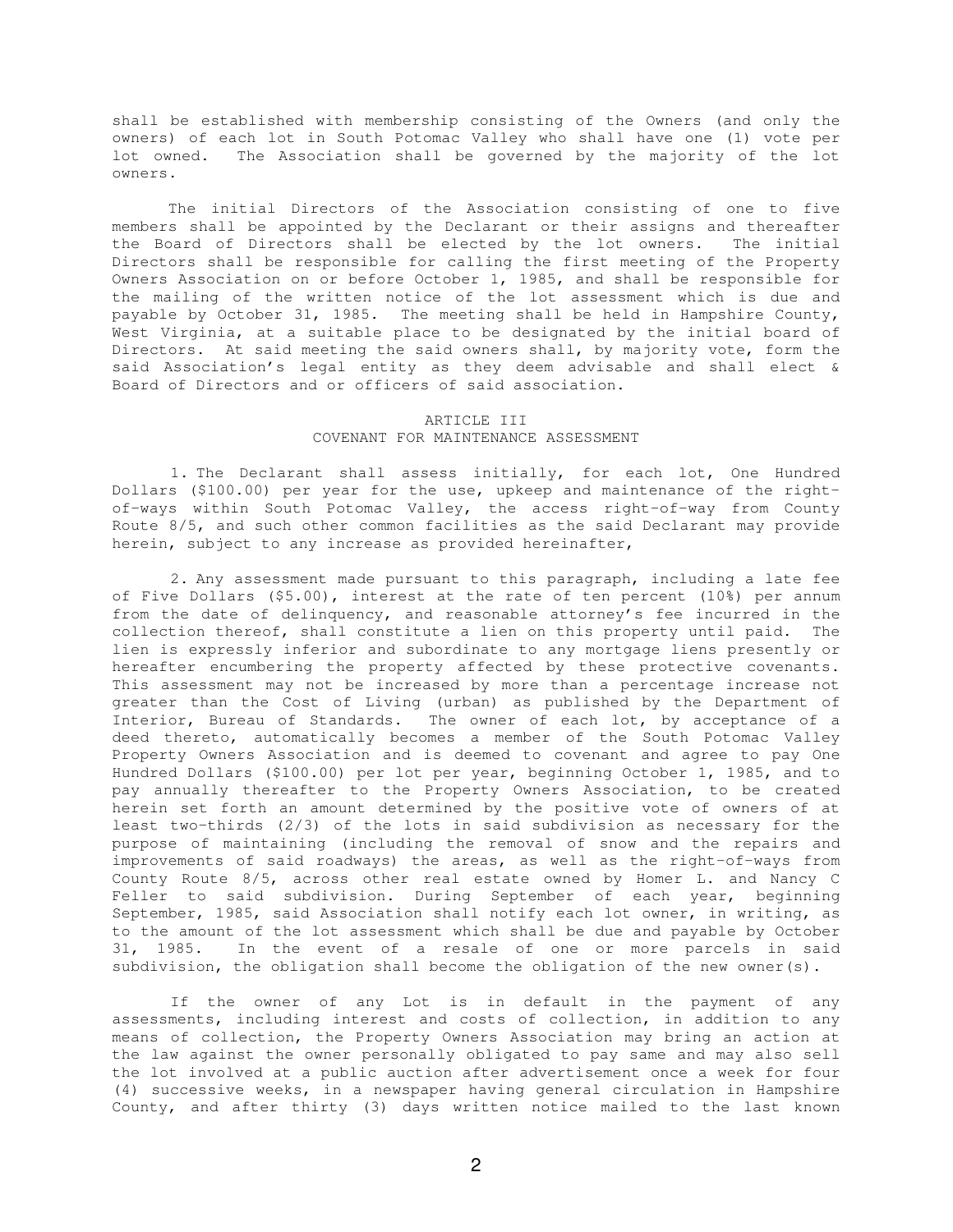shall be established with membership consisting of the Owners (and only the owners) of each lot in South Potomac Valley who shall have one (1) vote per lot owned. The Association shall be governed by the majority of the lot owners.

The initial Directors of the Association consisting of one to five members shall be appointed by the Declarant or their assigns and thereafter the Board of Directors shall be elected by the lot owners. The initial Directors shall be responsible for calling the first meeting of the Property Owners Association on or before October 1, 1985, and shall be responsible for the mailing of the written notice of the lot assessment which is due and payable by October 31, 1985. The meeting shall be held in Hampshire County, West Virginia, at a suitable place to be designated by the initial board of Directors. At said meeting the said owners shall, by majority vote, form the said Association's legal entity as they deem advisable and shall elect & Board of Directors and or officers of said association.

## ARTICLE III COVENANT FOR MAINTENANCE ASSESSMENT

1. The Declarant shall assess initially, for each lot, One Hundred Dollars (\$100.00) per year for the use, upkeep and maintenance of the rightof-ways within South Potomac Valley, the access right-of-way from County Route 8/5, and such other common facilities as the said Declarant may provide herein, subject to any increase as provided hereinafter,

2. Any assessment made pursuant to this paragraph, including a late fee of Five Dollars (\$5.00), interest at the rate of ten percent (10%) per annum from the date of delinquency, and reasonable attorney's fee incurred in the collection thereof, shall constitute a lien on this property until paid. The lien is expressly inferior and subordinate to any mortgage liens presently or hereafter encumbering the property affected by these protective covenants. This assessment may not be increased by more than a percentage increase not greater than the Cost of Living (urban) as published by the Department of Interior, Bureau of Standards. The owner of each lot, by acceptance of a deed thereto, automatically becomes a member of the South Potomac Valley Property Owners Association and is deemed to covenant and agree to pay One Hundred Dollars (\$100.00) per lot per year, beginning October 1, 1985, and to pay annually thereafter to the Property Owners Association, to be created herein set forth an amount determined by the positive vote of owners of at least two-thirds (2/3) of the lots in said subdivision as necessary for the purpose of maintaining (including the removal of snow and the repairs and improvements of said roadways) the areas, as well as the right-of-ways from County Route 8/5, across other real estate owned by Homer L. and Nancy C Feller to said subdivision. During September of each year, beginning September, 1985, said Association shall notify each lot owner, in writing, as to the amount of the lot assessment which shall be due and payable by October 31, 1985. In the event of a resale of one or more parcels in said subdivision, the obligation shall become the obligation of the new owner(s).

If the owner of any Lot is in default in the payment of any assessments, including interest and costs of collection, in addition to any means of collection, the Property Owners Association may bring an action at the law against the owner personally obligated to pay same and may also sell the lot involved at a public auction after advertisement once a week for four (4) successive weeks, in a newspaper having general circulation in Hampshire County, and after thirty (3) days written notice mailed to the last known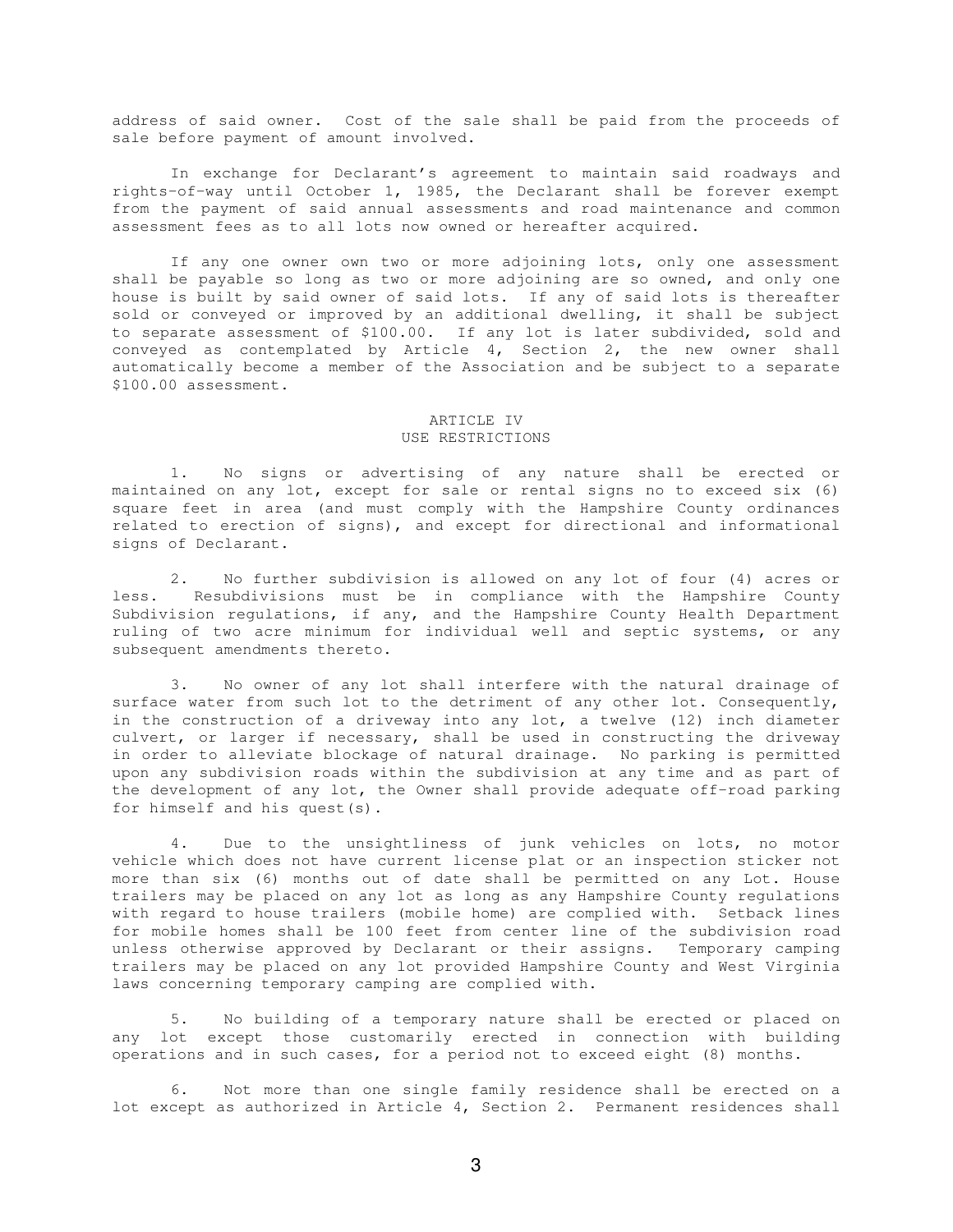address of said owner. Cost of the sale shall be paid from the proceeds of sale before payment of amount involved.

In exchange for Declarant's agreement to maintain said roadways and rights-of-way until October 1, 1985, the Declarant shall be forever exempt from the payment of said annual assessments and road maintenance and common assessment fees as to all lots now owned or hereafter acquired.

If any one owner own two or more adjoining lots, only one assessment shall be payable so long as two or more adjoining are so owned, and only one house is built by said owner of said lots. If any of said lots is thereafter sold or conveyed or improved by an additional dwelling, it shall be subject to separate assessment of \$100.00. If any lot is later subdivided, sold and conveyed as contemplated by Article 4, Section 2, the new owner shall automatically become a member of the Association and be subject to a separate \$100.00 assessment.

## ARTICLE IV USE RESTRICTIONS

1. No signs or advertising of any nature shall be erected or maintained on any lot, except for sale or rental signs no to exceed six (6) square feet in area (and must comply with the Hampshire County ordinances related to erection of signs), and except for directional and informational signs of Declarant.

2. No further subdivision is allowed on any lot of four (4) acres or less. Resubdivisions must be in compliance with the Hampshire County Subdivision regulations, if any, and the Hampshire County Health Department ruling of two acre minimum for individual well and septic systems, or any subsequent amendments thereto.

3. No owner of any lot shall interfere with the natural drainage of surface water from such lot to the detriment of any other lot. Consequently, in the construction of a driveway into any lot, a twelve (12) inch diameter culvert, or larger if necessary, shall be used in constructing the driveway in order to alleviate blockage of natural drainage. No parking is permitted upon any subdivision roads within the subdivision at any time and as part of the development of any lot, the Owner shall provide adequate off-road parking for himself and his quest(s).

4. Due to the unsightliness of junk vehicles on lots, no motor vehicle which does not have current license plat or an inspection sticker not more than six (6) months out of date shall be permitted on any Lot. House trailers may be placed on any lot as long as any Hampshire County regulations with regard to house trailers (mobile home) are complied with. Setback lines for mobile homes shall be 100 feet from center line of the subdivision road unless otherwise approved by Declarant or their assigns. Temporary camping trailers may be placed on any lot provided Hampshire County and West Virginia laws concerning temporary camping are complied with.

5. No building of a temporary nature shall be erected or placed on any lot except those customarily erected in connection with building operations and in such cases, for a period not to exceed eight (8) months.

6. Not more than one single family residence shall be erected on a lot except as authorized in Article 4, Section 2. Permanent residences shall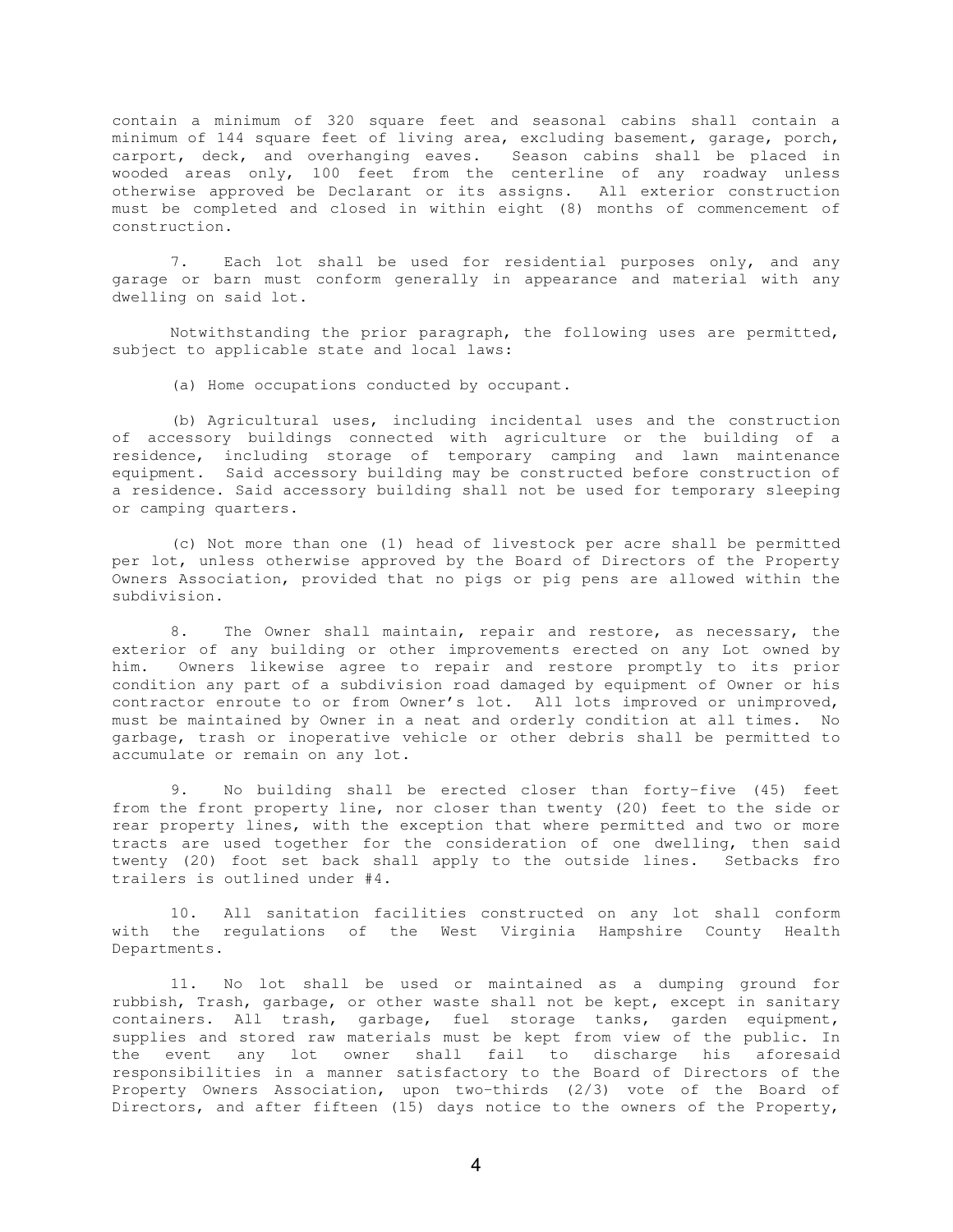contain a minimum of 320 square feet and seasonal cabins shall contain a minimum of 144 square feet of living area, excluding basement, garage, porch, carport, deck, and overhanging eaves. Season cabins shall be placed in wooded areas only, 100 feet from the centerline of any roadway unless otherwise approved be Declarant or its assigns. All exterior construction must be completed and closed in within eight (8) months of commencement of construction.

7. Each lot shall be used for residential purposes only, and any garage or barn must conform generally in appearance and material with any dwelling on said lot.

Notwithstanding the prior paragraph, the following uses are permitted, subject to applicable state and local laws:

(a) Home occupations conducted by occupant.

(b) Agricultural uses, including incidental uses and the construction of accessory buildings connected with agriculture or the building of a residence, including storage of temporary camping and lawn maintenance equipment. Said accessory building may be constructed before construction of a residence. Said accessory building shall not be used for temporary sleeping or camping quarters.

(c) Not more than one (1) head of livestock per acre shall be permitted per lot, unless otherwise approved by the Board of Directors of the Property Owners Association, provided that no pigs or pig pens are allowed within the subdivision.

8. The Owner shall maintain, repair and restore, as necessary, the exterior of any building or other improvements erected on any Lot owned by him. Owners likewise agree to repair and restore promptly to its prior condition any part of a subdivision road damaged by equipment of Owner or his contractor enroute to or from Owner's lot. All lots improved or unimproved, must be maintained by Owner in a neat and orderly condition at all times. No garbage, trash or inoperative vehicle or other debris shall be permitted to accumulate or remain on any lot.

9. No building shall be erected closer than forty-five (45) feet from the front property line, nor closer than twenty (20) feet to the side or rear property lines, with the exception that where permitted and two or more tracts are used together for the consideration of one dwelling, then said twenty (20) foot set back shall apply to the outside lines. Setbacks fro trailers is outlined under #4.

10. All sanitation facilities constructed on any lot shall conform with the regulations of the West Virginia Hampshire County Health Departments.

11. No lot shall be used or maintained as a dumping ground for rubbish, Trash, garbage, or other waste shall not be kept, except in sanitary containers. All trash, garbage, fuel storage tanks, garden equipment, supplies and stored raw materials must be kept from view of the public. In the event any lot owner shall fail to discharge his aforesaid responsibilities in a manner satisfactory to the Board of Directors of the Property Owners Association, upon two-thirds (2/3) vote of the Board of Directors, and after fifteen (15) days notice to the owners of the Property,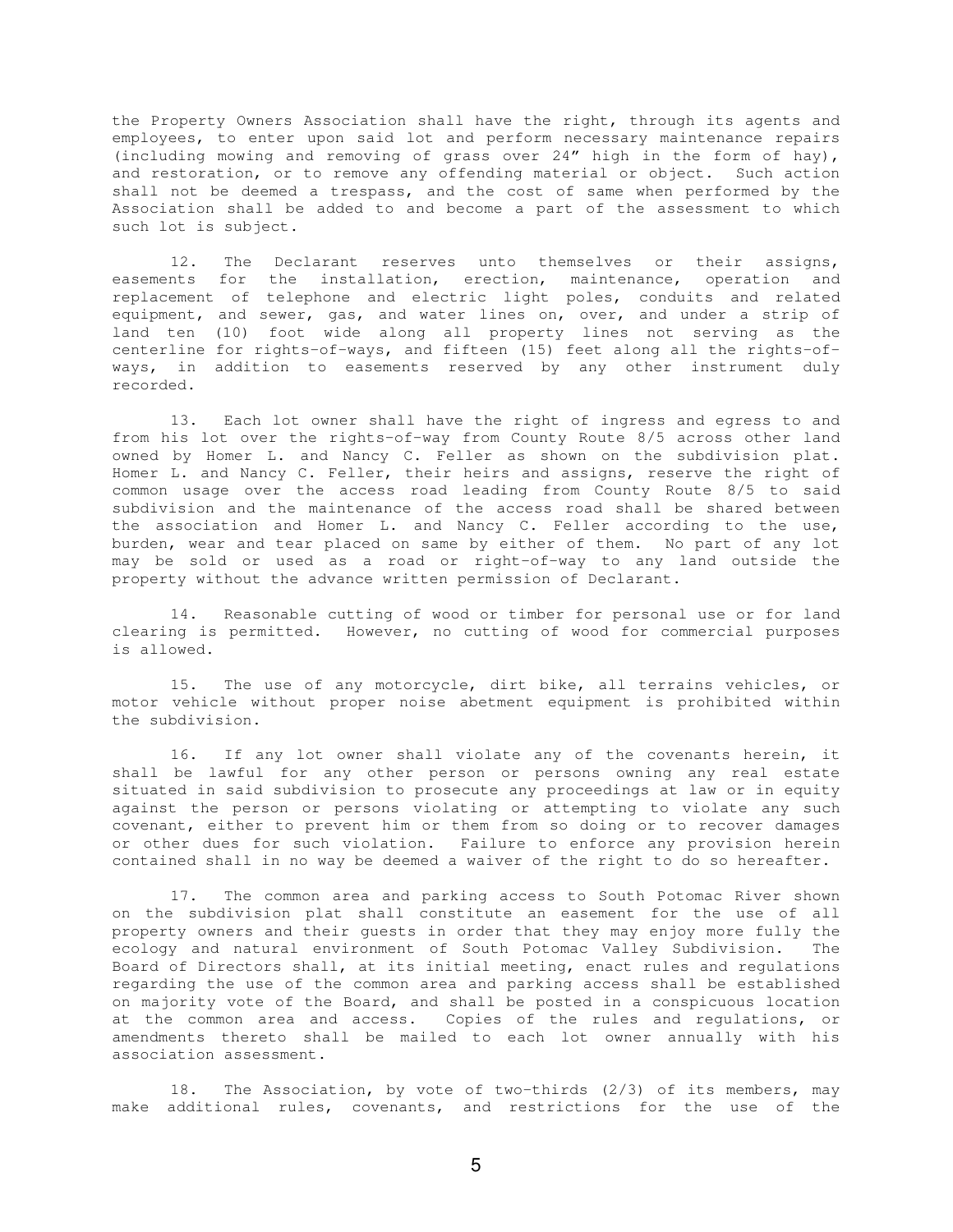the Property Owners Association shall have the right, through its agents and employees, to enter upon said lot and perform necessary maintenance repairs (including mowing and removing of grass over 24" high in the form of hay), and restoration, or to remove any offending material or object. Such action shall not be deemed a trespass, and the cost of same when performed by the Association shall be added to and become a part of the assessment to which such lot is subject.

12. The Declarant reserves unto themselves or their assigns, easements for the installation, erection, maintenance, operation and replacement of telephone and electric light poles, conduits and related equipment, and sewer, gas, and water lines on, over, and under a strip of land ten (10) foot wide along all property lines not serving as the centerline for rights-of-ways, and fifteen (15) feet along all the rights-ofways, in addition to easements reserved by any other instrument duly recorded.

13. Each lot owner shall have the right of ingress and egress to and from his lot over the rights-of-way from County Route 8/5 across other land owned by Homer L. and Nancy C. Feller as shown on the subdivision plat. Homer L. and Nancy C. Feller, their heirs and assigns, reserve the right of common usage over the access road leading from County Route 8/5 to said subdivision and the maintenance of the access road shall be shared between the association and Homer L. and Nancy C. Feller according to the use, burden, wear and tear placed on same by either of them. No part of any lot may be sold or used as a road or right-of-way to any land outside the property without the advance written permission of Declarant.

14. Reasonable cutting of wood or timber for personal use or for land clearing is permitted. However, no cutting of wood for commercial purposes is allowed.

15. The use of any motorcycle, dirt bike, all terrains vehicles, or motor vehicle without proper noise abetment equipment is prohibited within the subdivision.

16. If any lot owner shall violate any of the covenants herein, it shall be lawful for any other person or persons owning any real estate situated in said subdivision to prosecute any proceedings at law or in equity against the person or persons violating or attempting to violate any such covenant, either to prevent him or them from so doing or to recover damages or other dues for such violation. Failure to enforce any provision herein contained shall in no way be deemed a waiver of the right to do so hereafter.

17. The common area and parking access to South Potomac River shown on the subdivision plat shall constitute an easement for the use of all property owners and their guests in order that they may enjoy more fully the ecology and natural environment of South Potomac Valley Subdivision. The Board of Directors shall, at its initial meeting, enact rules and regulations regarding the use of the common area and parking access shall be established on majority vote of the Board, and shall be posted in a conspicuous location at the common area and access. Copies of the rules and regulations, or amendments thereto shall be mailed to each lot owner annually with his association assessment.

18. The Association, by vote of two-thirds (2/3) of its members, may make additional rules, covenants, and restrictions for the use of the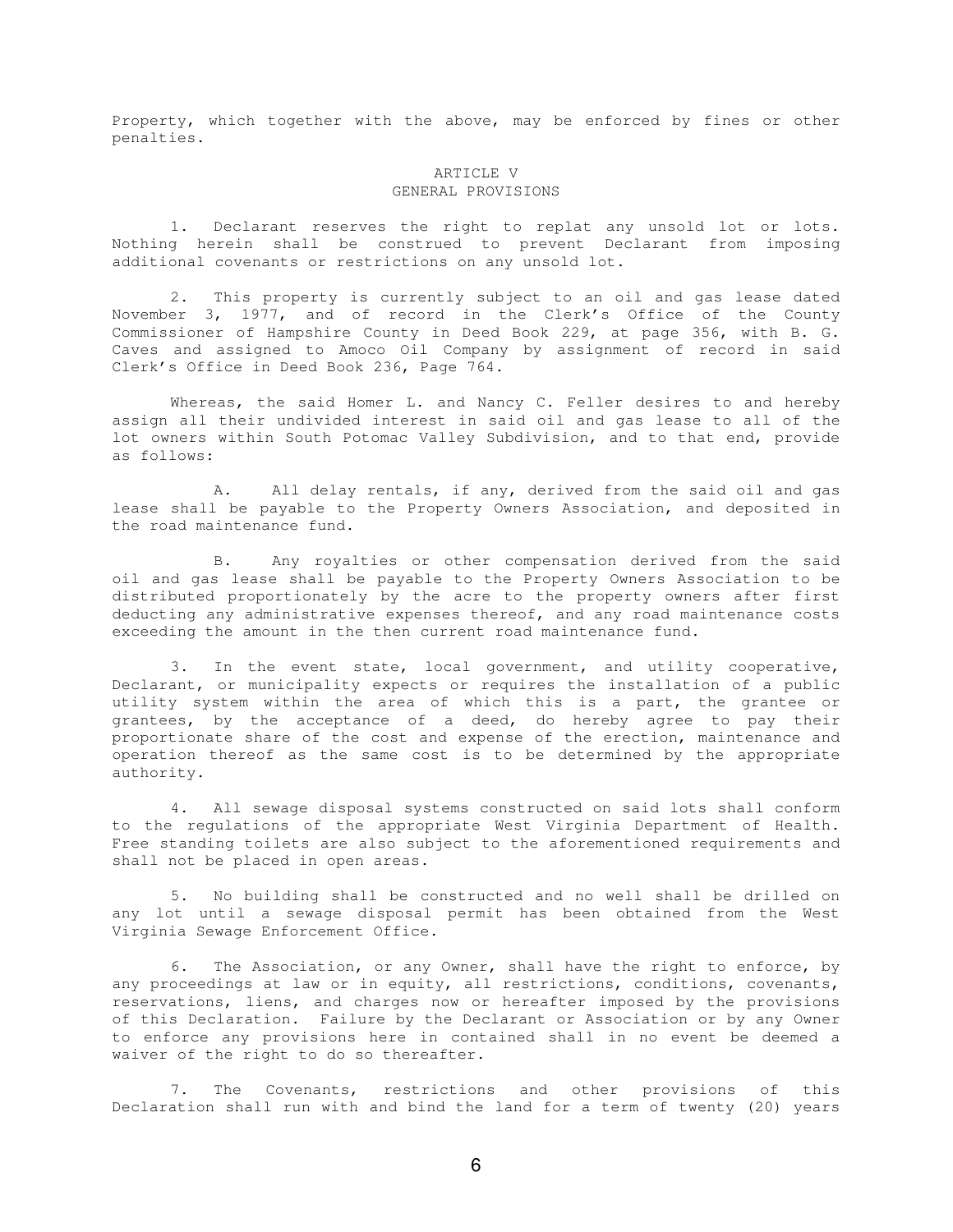Property, which together with the above, may be enforced by fines or other penalties.

## ARTICLE V GENERAL PROVISIONS

1. Declarant reserves the right to replat any unsold lot or lots. Nothing herein shall be construed to prevent Declarant from imposing additional covenants or restrictions on any unsold lot.

2. This property is currently subject to an oil and gas lease dated November 3, 1977, and of record in the Clerk's Office of the County Commissioner of Hampshire County in Deed Book 229, at page 356, with B. G. Caves and assigned to Amoco Oil Company by assignment of record in said Clerk's Office in Deed Book 236, Page 764.

Whereas, the said Homer L. and Nancy C. Feller desires to and hereby assign all their undivided interest in said oil and gas lease to all of the lot owners within South Potomac Valley Subdivision, and to that end, provide as follows:

A. All delay rentals, if any, derived from the said oil and gas lease shall be payable to the Property Owners Association, and deposited in the road maintenance fund.

B. Any royalties or other compensation derived from the said oil and gas lease shall be payable to the Property Owners Association to be distributed proportionately by the acre to the property owners after first deducting any administrative expenses thereof, and any road maintenance costs exceeding the amount in the then current road maintenance fund.

3. In the event state, local government, and utility cooperative, Declarant, or municipality expects or requires the installation of a public utility system within the area of which this is a part, the grantee or grantees, by the acceptance of a deed, do hereby agree to pay their proportionate share of the cost and expense of the erection, maintenance and operation thereof as the same cost is to be determined by the appropriate authority.

4. All sewage disposal systems constructed on said lots shall conform to the regulations of the appropriate West Virginia Department of Health. Free standing toilets are also subject to the aforementioned requirements and shall not be placed in open areas.

5. No building shall be constructed and no well shall be drilled on any lot until a sewage disposal permit has been obtained from the West Virginia Sewage Enforcement Office.

6. The Association, or any Owner, shall have the right to enforce, by any proceedings at law or in equity, all restrictions, conditions, covenants, reservations, liens, and charges now or hereafter imposed by the provisions of this Declaration. Failure by the Declarant or Association or by any Owner to enforce any provisions here in contained shall in no event be deemed a waiver of the right to do so thereafter.

7. The Covenants, restrictions and other provisions of this Declaration shall run with and bind the land for a term of twenty (20) years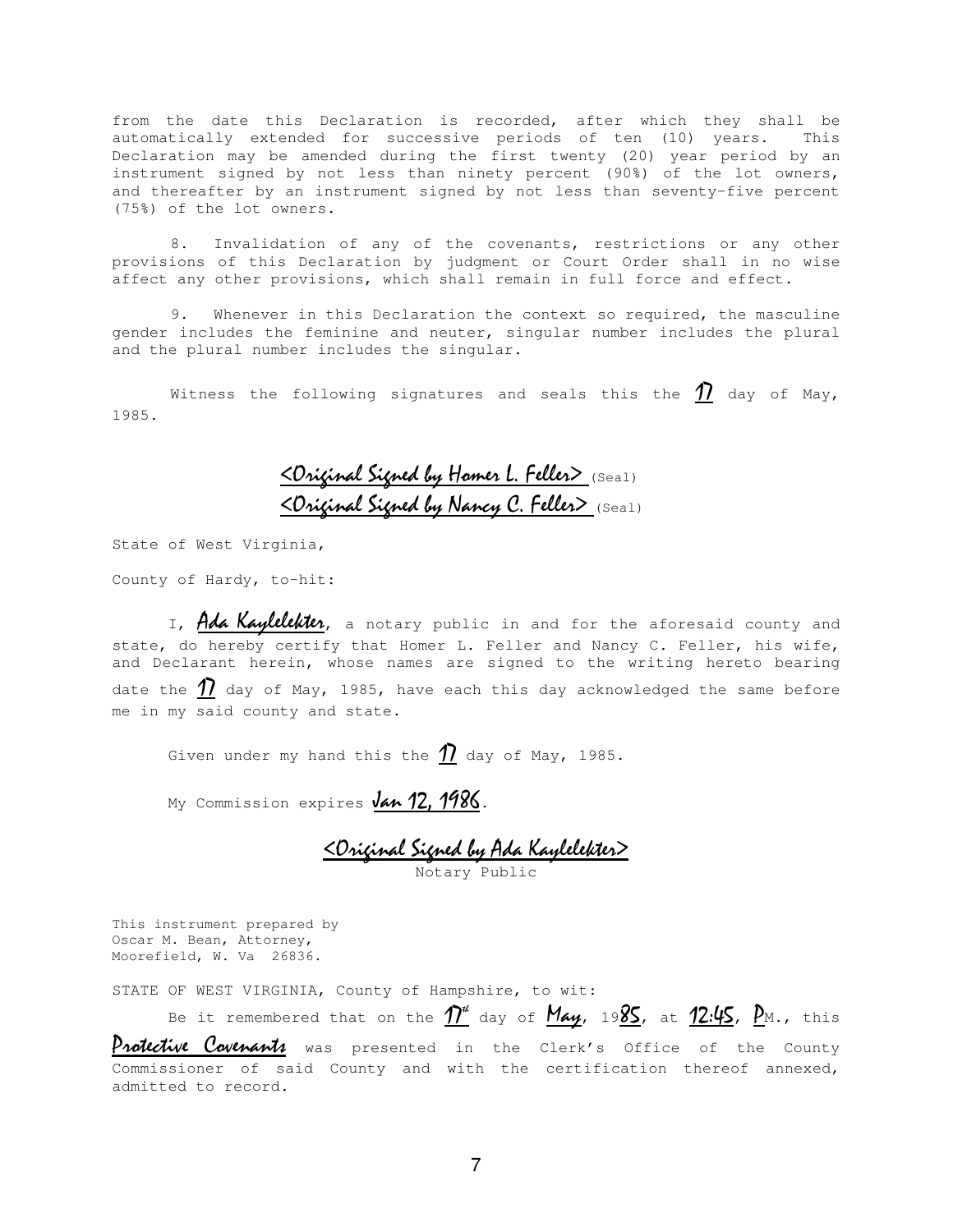from the date this Declaration is recorded, after which they shall be automatically extended for successive periods of ten (10) years. This Declaration may be amended during the first twenty (20) year period by an instrument signed by not less than ninety percent (90%) of the lot owners, and thereafter by an instrument signed by not less than seventy-five percent (75%) of the lot owners.

8. Invalidation of any of the covenants, restrictions or any other provisions of this Declaration by judgment or Court Order shall in no wise affect any other provisions, which shall remain in full force and effect.

9. Whenever in this Declaration the context so required, the masculine gender includes the feminine and neuter, singular number includes the plural and the plural number includes the singular.

Witness the following signatures and seals this the  $\underline{\textbf{\textit{1}}}$  day of May, 1985.

# <u> < Original Signed by Homer L. Feller> (Seal)</u> <u> < Original Signed by Nancy C. Feller> (Seal)</u>

State of West Virginia,

County of Hardy, to-hit:

I, Ada Kaylelekter, a notary public in and for the aforesaid county and state, do hereby certify that Homer L. Feller and Nancy C. Feller, his wife, and Declarant herein, whose names are signed to the writing hereto bearing date the  $\rlap{/}{\textstyle\smash{\big\{}}}$  day of May, 1985, have each this day acknowledged the same before me in my said county and state.

Given under my hand this the  $\underline{\textbf{\textit{1}}}$  day of May, 1985.

My Commission expires Jan 12, 1986.

<u> <Original Signed by Ada Kaylelekter></u> Notary Public

This instrument prepared by Oscar M. Bean, Attorney, Moorefield, W. Va 26836.

STATE OF WEST VIRGINIA, County of Hampshire, to wit:

Be it remembered that on the  $\varUpsilon''$  day of  $\overline{\mathsf{May}}$ , 19 $\overline{\mathsf{8S}}$ , at  $\overline{\mathsf{12:\!\!4S}}$ ,  $\overline{\mathsf{P}}$ M., this

Protective Covenants was presented in the Clerk's Office of the County Commissioner of said County and with the certification thereof annexed, admitted to record.